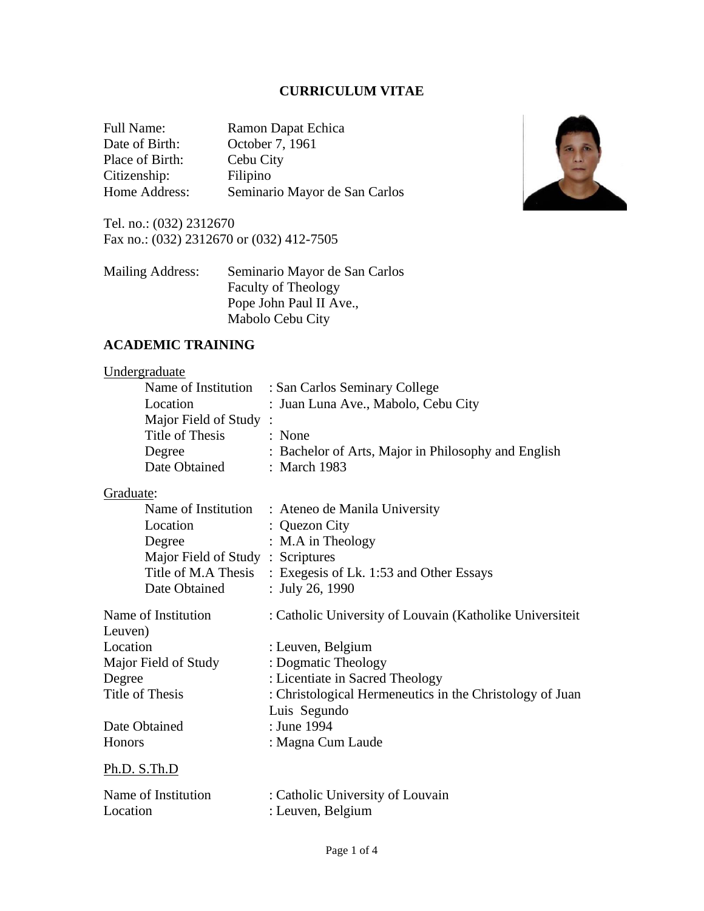# **CURRICULUM VITAE**

| Full Name:      | Ramon Dapat Echica            |
|-----------------|-------------------------------|
| Date of Birth:  | October 7, 1961               |
| Place of Birth: | Cebu City                     |
| Citizenship:    | Filipino                      |
| Home Address:   | Seminario Mayor de San Carlos |

Tel. no.: (032) 2312670 Fax no.: (032) 2312670 or (032) 412-7505

| Seminario Mayor de San Carlos |
|-------------------------------|
| <b>Faculty of Theology</b>    |
| Pope John Paul II Ave.,       |
| Mabolo Cebu City              |
|                               |



## **ACADEMIC TRAINING**

## **Undergraduate**

|                       | Name of Institution : San Carlos Seminary College   |
|-----------------------|-----------------------------------------------------|
| Location              | : Juan Luna Ave., Mabolo, Cebu City                 |
| Major Field of Study: |                                                     |
| Title of Thesis       | : None                                              |
| Degree                | : Bachelor of Arts, Major in Philosophy and English |
| Date Obtained         | : March 1983                                        |

## Graduate:

|                                  | Name of Institution : Ateneo de Manila University           |
|----------------------------------|-------------------------------------------------------------|
| Location                         | : Quezon City                                               |
| Degree                           | : M.A in Theology                                           |
| Major Field of Study: Scriptures |                                                             |
|                                  | Title of M.A Thesis : Exegesis of Lk. 1:53 and Other Essays |
| Date Obtained                    | : July 26, 1990                                             |
| Name of Institution              | : Catholic University of Louvain (Katholike Universiteit)   |
| Leuven)                          |                                                             |
| Location                         | : Leuven, Belgium                                           |
| Major Field of Study             | : Dogmatic Theology                                         |
| Degree                           | : Licentiate in Sacred Theology                             |
| Title of Thesis                  | : Christological Hermeneutics in the Christology of Juan    |
|                                  | Luis Segundo                                                |
| Date Obtained                    | : June 1994                                                 |
| <b>Honors</b>                    | : Magna Cum Laude                                           |
| Ph.D. S.Th.D                     |                                                             |
| Name of Institution              | : Catholic University of Louvain                            |
| Location                         | : Leuven, Belgium                                           |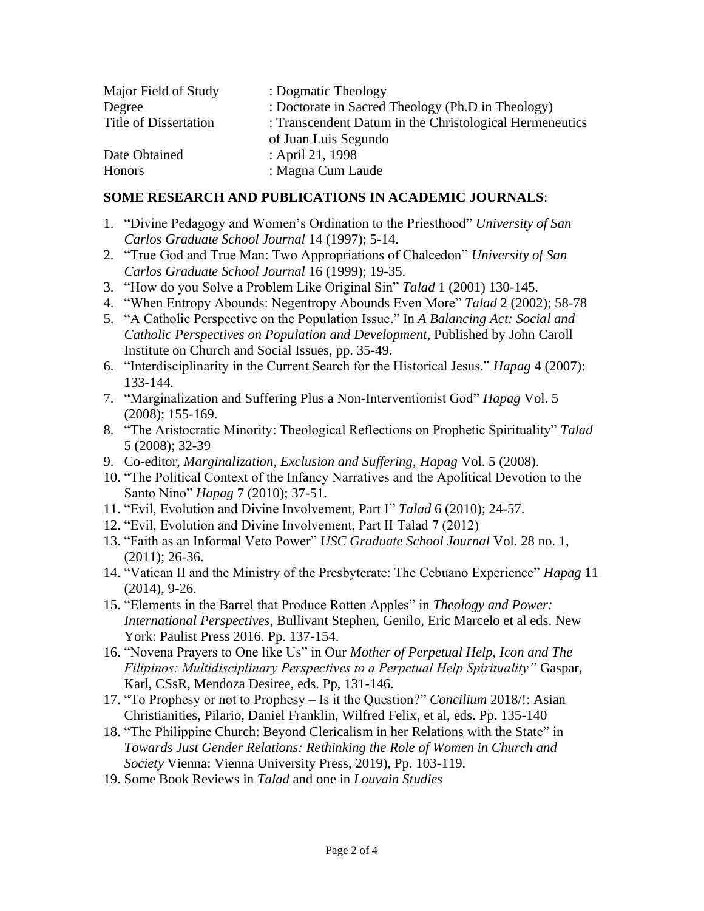| Major Field of Study         | : Dogmatic Theology                                     |
|------------------------------|---------------------------------------------------------|
| Degree                       | : Doctorate in Sacred Theology (Ph.D in Theology)       |
| <b>Title of Dissertation</b> | : Transcendent Datum in the Christological Hermeneutics |
|                              | of Juan Luis Segundo                                    |
| Date Obtained                | : April 21, 1998                                        |
| <b>Honors</b>                | : Magna Cum Laude                                       |

## **SOME RESEARCH AND PUBLICATIONS IN ACADEMIC JOURNALS**:

- 1. "Divine Pedagogy and Women's Ordination to the Priesthood" *University of San Carlos Graduate School Journal* 14 (1997); 5-14.
- 2. "True God and True Man: Two Appropriations of Chalcedon" *University of San Carlos Graduate School Journal* 16 (1999); 19-35.
- 3. "How do you Solve a Problem Like Original Sin" *Talad* 1 (2001) 130-145.
- 4. "When Entropy Abounds: Negentropy Abounds Even More" *Talad* 2 (2002); 58-78
- 5. "A Catholic Perspective on the Population Issue." In *A Balancing Act: Social and Catholic Perspectives on Population and Development*, Published by John Caroll Institute on Church and Social Issues, pp. 35-49.
- 6. "Interdisciplinarity in the Current Search for the Historical Jesus." *Hapag* 4 (2007): 133-144.
- 7. "Marginalization and Suffering Plus a Non-Interventionist God" *Hapag* Vol. 5 (2008); 155-169.
- 8. "The Aristocratic Minority: Theological Reflections on Prophetic Spirituality" *Talad* 5 (2008); 32-39
- 9. Co-editor, *Marginalization, Exclusion and Suffering*, *Hapag* Vol. 5 (2008).
- 10. "The Political Context of the Infancy Narratives and the Apolitical Devotion to the Santo Nino" *Hapag* 7 (2010); 37-51.
- 11. "Evil, Evolution and Divine Involvement, Part I" *Talad* 6 (2010); 24-57.
- 12. "Evil, Evolution and Divine Involvement, Part II Talad 7 (2012)
- 13. "Faith as an Informal Veto Power" *USC Graduate School Journal* Vol. 28 no. 1, (2011); 26-36.
- 14. "Vatican II and the Ministry of the Presbyterate: The Cebuano Experience" *Hapag* 11 (2014), 9-26.
- 15. "Elements in the Barrel that Produce Rotten Apples" in *Theology and Power: International Perspectives*, Bullivant Stephen, Genilo, Eric Marcelo et al eds. New York: Paulist Press 2016. Pp. 137-154.
- 16. "Novena Prayers to One like Us" in Our *Mother of Perpetual Help, Icon and The Filipinos: Multidisciplinary Perspectives to a Perpetual Help Spirituality"* Gaspar, Karl, CSsR, Mendoza Desiree, eds. Pp, 131-146.
- 17. "To Prophesy or not to Prophesy Is it the Question?" *Concilium* 2018/!: Asian Christianities, Pilario, Daniel Franklin, Wilfred Felix, et al, eds. Pp. 135-140
- 18. "The Philippine Church: Beyond Clericalism in her Relations with the State" in *Towards Just Gender Relations: Rethinking the Role of Women in Church and Society* Vienna: Vienna University Press, 2019), Pp. 103-119.
- 19. Some Book Reviews in *Talad* and one in *Louvain Studies*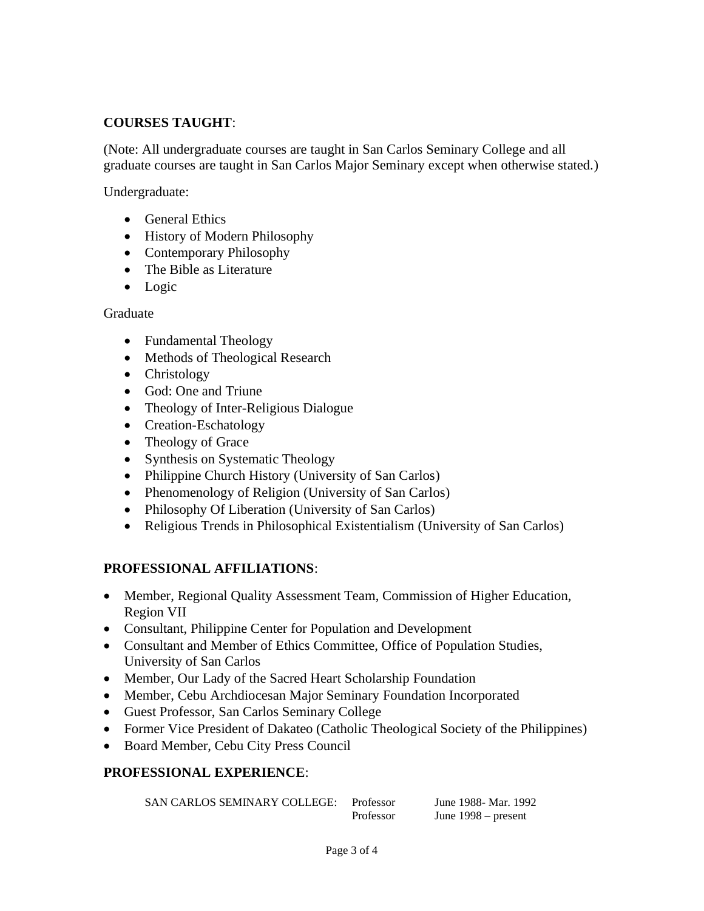## **COURSES TAUGHT**:

(Note: All undergraduate courses are taught in San Carlos Seminary College and all graduate courses are taught in San Carlos Major Seminary except when otherwise stated.)

Undergraduate:

- General Ethics
- History of Modern Philosophy
- Contemporary Philosophy
- The Bible as Literature
- Logic

Graduate

- Fundamental Theology
- Methods of Theological Research
- Christology
- God: One and Triune
- Theology of Inter-Religious Dialogue
- Creation-Eschatology
- Theology of Grace
- Synthesis on Systematic Theology
- Philippine Church History (University of San Carlos)
- Phenomenology of Religion (University of San Carlos)
- Philosophy Of Liberation (University of San Carlos)
- Religious Trends in Philosophical Existentialism (University of San Carlos)

#### **PROFESSIONAL AFFILIATIONS**:

- Member, Regional Quality Assessment Team, Commission of Higher Education, Region VII
- Consultant, Philippine Center for Population and Development
- Consultant and Member of Ethics Committee, Office of Population Studies, University of San Carlos
- Member, Our Lady of the Sacred Heart Scholarship Foundation
- Member, Cebu Archdiocesan Major Seminary Foundation Incorporated
- Guest Professor, San Carlos Seminary College
- Former Vice President of Dakateo (Catholic Theological Society of the Philippines)
- Board Member, Cebu City Press Council

## **PROFESSIONAL EXPERIENCE**:

| SAN CARLOS SEMINARY COLLEGE: | Professor | June 1988 - Mar. 1992 |
|------------------------------|-----------|-----------------------|
|                              | Professor | June $1998$ – present |